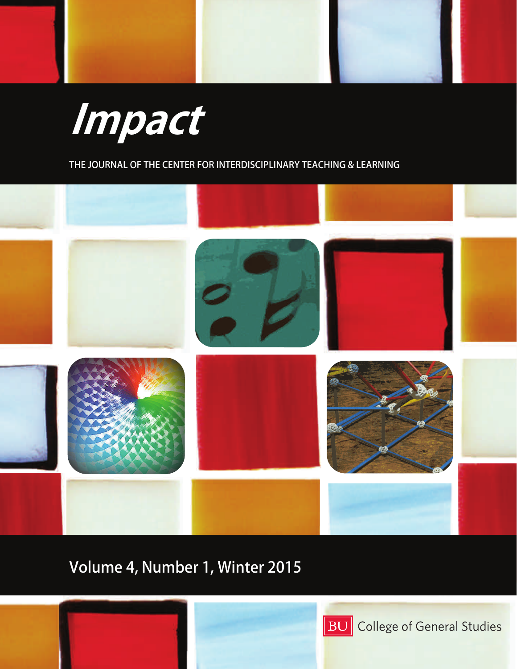

**THE JOURNAL OF THE CENTER FOR INTERDISCIPLINARY TEACHING & LEARNING** 



## **Volume 4, Number 1, Winter 2015**



**BU** College of General Studies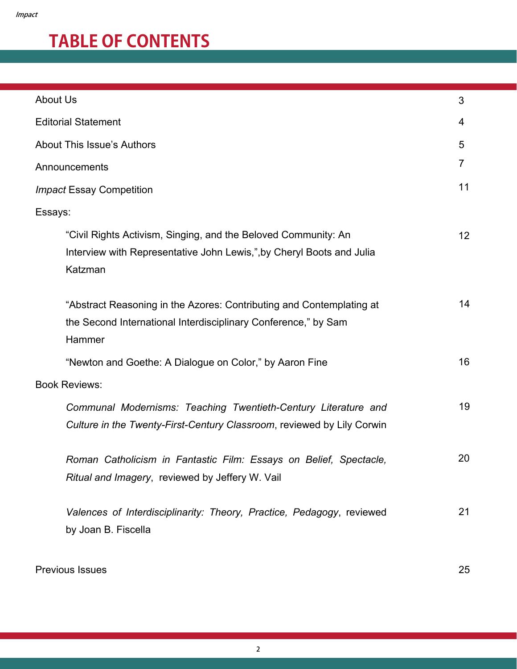# **TABLE OF CONTENTS**

| 3                    |  |  |
|----------------------|--|--|
| 4                    |  |  |
| 5                    |  |  |
| 7                    |  |  |
| 11                   |  |  |
|                      |  |  |
| 12                   |  |  |
| 14                   |  |  |
| 16                   |  |  |
| <b>Book Reviews:</b> |  |  |
| 19                   |  |  |
| 20                   |  |  |
| 21                   |  |  |
|                      |  |  |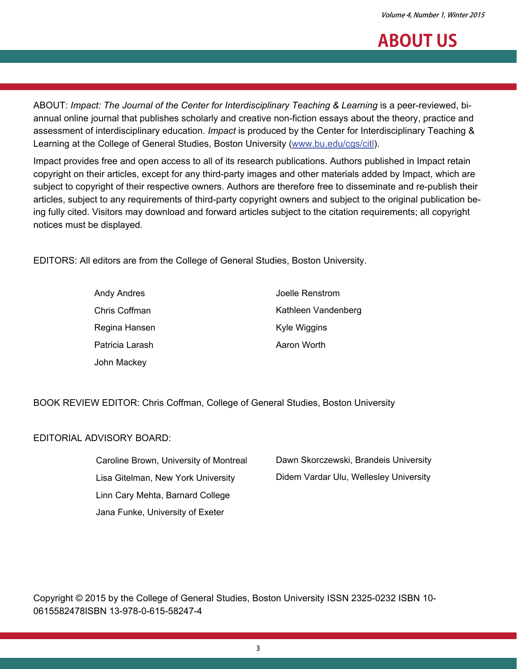### **ABOUT US**

ABOUT: *Impact: The Journal of the Center for Interdisciplinary Teaching & Learning* is a peer-reviewed, biannual online journal that publishes scholarly and creative non-fiction essays about the theory, practice and assessment of interdisciplinary education. *Impact* is produced by the Center for Interdisciplinary Teaching & Learning at the College of General Studies, Boston University ([www.bu.edu/cgs/citl\)](http://www.bu.edu/cgs/citl/summerinstitute/).

Impact provides free and open access to all of its research publications. Authors published in Impact retain copyright on their articles, except for any third-party images and other materials added by Impact, which are subject to copyright of their respective owners. Authors are therefore free to disseminate and re-publish their articles, subject to any requirements of third-party copyright owners and subject to the original publication being fully cited. Visitors may download and forward articles subject to the citation requirements; all copyright notices must be displayed.

EDITORS: All editors are from the College of General Studies, Boston University.

| Andy Andres     | Joelle Renstrom     |
|-----------------|---------------------|
| Chris Coffman   | Kathleen Vandenberg |
| Regina Hansen   | Kyle Wiggins        |
| Patricia Larash | Aaron Worth         |
| John Mackey     |                     |

BOOK REVIEW EDITOR: Chris Coffman, College of General Studies, Boston University

#### EDITORIAL ADVISORY BOARD:

| Caroline Brown, University of Montreal | Dawn Skorczewski, Brandeis University  |
|----------------------------------------|----------------------------------------|
| Lisa Gitelman, New York University     | Didem Vardar Ulu, Wellesley University |
| Linn Cary Mehta, Barnard College       |                                        |
| Jana Funke, University of Exeter       |                                        |

Copyright © 2015 by the College of General Studies, Boston University ISSN 2325-0232 ISBN 10- 0615582478ISBN 13-978-0-615-58247-4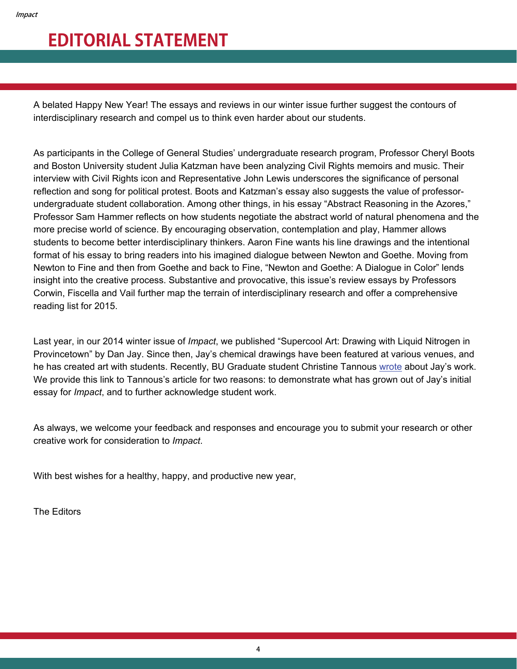### **EDITORIAL STATEMENT**

A belated Happy New Year! The essays and reviews in our winter issue further suggest the contours of interdisciplinary research and compel us to think even harder about our students.

As participants in the College of General Studies' undergraduate research program, Professor Cheryl Boots and Boston University student Julia Katzman have been analyzing Civil Rights memoirs and music. Their interview with Civil Rights icon and Representative John Lewis underscores the significance of personal reflection and song for political protest. Boots and Katzman's essay also suggests the value of professorundergraduate student collaboration. Among other things, in his essay "Abstract Reasoning in the Azores," Professor Sam Hammer reflects on how students negotiate the abstract world of natural phenomena and the more precise world of science. By encouraging observation, contemplation and play, Hammer allows students to become better interdisciplinary thinkers. Aaron Fine wants his line drawings and the intentional format of his essay to bring readers into his imagined dialogue between Newton and Goethe. Moving from Newton to Fine and then from Goethe and back to Fine, "Newton and Goethe: A Dialogue in Color" lends insight into the creative process. Substantive and provocative, this issue's review essays by Professors Corwin, Fiscella and Vail further map the terrain of interdisciplinary research and offer a comprehensive reading list for 2015.

Last year, in our 2014 winter issue of *Impact*, we published "Supercool Art: Drawing with Liquid Nitrogen in Provincetown" by Dan Jay. Since then, Jay's chemical drawings have been featured at various venues, and he has created art with students. Recently, BU Graduate student Christine Tannous [wrote](http://bunewsservice.com/merging-art-science/) about Jay's work. We provide this link to Tannous's article for two reasons: to demonstrate what has grown out of Jay's initial essay for *Impact*, and to further acknowledge student work.

As always, we welcome your feedback and responses and encourage you to submit your research or other creative work for consideration to *Impact*.

With best wishes for a healthy, happy, and productive new year,

The Editors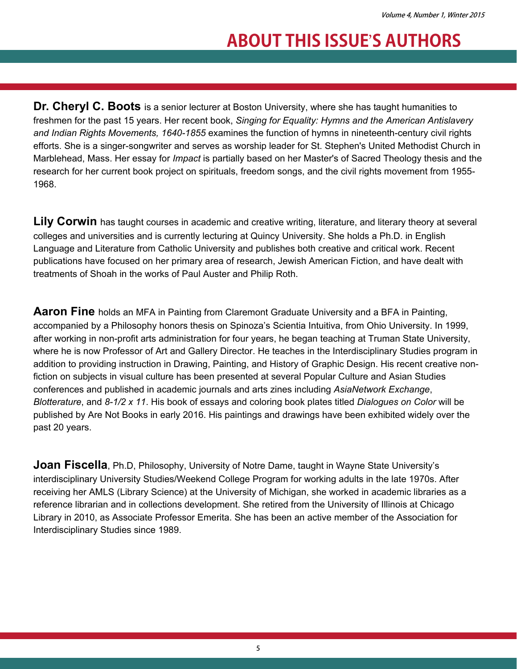## **ABOUT THIS ISSUE**'**S AUTHORS**

**Dr. Cheryl C. Boots** is a senior lecturer at Boston University, where she has taught humanities to freshmen for the past 15 years. Her recent book, *Singing for Equality: Hymns and the American Antislavery and Indian Rights Movements, 1640-1855* examines the function of hymns in nineteenth-century civil rights efforts. She is a singer-songwriter and serves as worship leader for St. Stephen's United Methodist Church in Marblehead, Mass. Her essay for *Impact* is partially based on her Master's of Sacred Theology thesis and the research for her current book project on spirituals, freedom songs, and the civil rights movement from 1955- 1968.

Lily Corwin has taught courses in academic and creative writing, literature, and literary theory at several colleges and universities and is currently lecturing at Quincy University. She holds a Ph.D. in English Language and Literature from Catholic University and publishes both creative and critical work. Recent publications have focused on her primary area of research, Jewish American Fiction, and have dealt with treatments of Shoah in the works of Paul Auster and Philip Roth.

**Aaron Fine** holds an MFA in Painting from Claremont Graduate University and a BFA in Painting, accompanied by a Philosophy honors thesis on Spinoza's Scientia Intuitiva, from Ohio University. In 1999, after working in non-profit arts administration for four years, he began teaching at Truman State University, where he is now Professor of Art and Gallery Director. He teaches in the Interdisciplinary Studies program in addition to providing instruction in Drawing, Painting, and History of Graphic Design. His recent creative nonfiction on subjects in visual culture has been presented at several Popular Culture and Asian Studies conferences and published in academic journals and arts zines including *AsiaNetwork Exchange*, *Blotterature*, and *8-1/2 x 11*. His book of essays and coloring book plates titled *Dialogues on Color* will be published by Are Not Books in early 2016. His paintings and drawings have been exhibited widely over the past 20 years.

**Joan Fiscella**, Ph.D, Philosophy, University of Notre Dame, taught in Wayne State University's interdisciplinary University Studies/Weekend College Program for working adults in the late 1970s. After receiving her AMLS (Library Science) at the University of Michigan, she worked in academic libraries as a reference librarian and in collections development. She retired from the University of Illinois at Chicago Library in 2010, as Associate Professor Emerita. She has been an active member of the Association for Interdisciplinary Studies since 1989.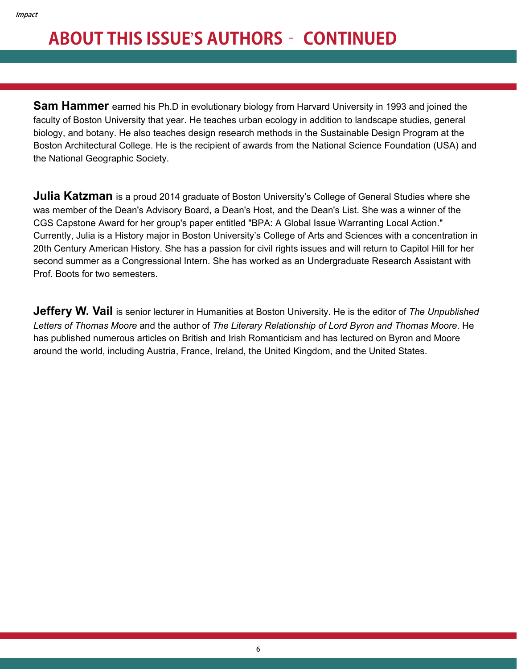# **ABOUT THIS ISSUE**'**S AUTHORS– CONTINUED**

**Sam Hammer** earned his Ph.D in evolutionary biology from Harvard University in 1993 and joined the faculty of Boston University that year. He teaches urban ecology in addition to landscape studies, general biology, and botany. He also teaches design research methods in the Sustainable Design Program at the Boston Architectural College. He is the recipient of awards from the National Science Foundation (USA) and the National Geographic Society.

**Julia Katzman** is a proud 2014 graduate of Boston University's College of General Studies where she was member of the Dean's Advisory Board, a Dean's Host, and the Dean's List. She was a winner of the CGS Capstone Award for her group's paper entitled "BPA: A Global Issue Warranting Local Action." Currently, Julia is a History major in Boston University's College of Arts and Sciences with a concentration in 20th Century American History. She has a passion for civil rights issues and will return to Capitol Hill for her second summer as a Congressional Intern. She has worked as an Undergraduate Research Assistant with Prof. Boots for two semesters.

**Jeffery W. Vail** is senior lecturer in Humanities at Boston University. He is the editor of *The Unpublished Letters of Thomas Moore* and the author of *The Literary Relationship of Lord Byron and Thomas Moore*. He has published numerous articles on British and Irish Romanticism and has lectured on Byron and Moore around the world, including Austria, France, Ireland, the United Kingdom, and the United States.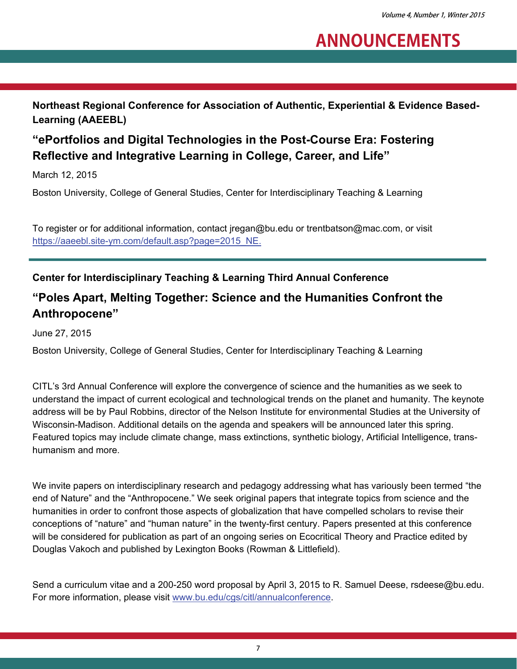## **ANNOUNCEMENTS**

**Northeast Regional Conference for Association of Authentic, Experiential & Evidence Based-Learning (AAEEBL)** 

### **"ePortfolios and Digital Technologies in the Post-Course Era: Fostering Reflective and Integrative Learning in College, Career, and Life"**

March 12, 2015

Boston University, College of General Studies, Center for Interdisciplinary Teaching & Learning

To register or for additional information, contact jregan@bu.edu or trentbatson@mac.com, or visit [https://aaeebl.site-ym.com/default.asp?page=2015\\_NE.](https://aaeebl.site-ym.com/default.asp?page=2015_NE)

#### **Center for Interdisciplinary Teaching & Learning Third Annual Conference**

### **"Poles Apart, Melting Together: Science and the Humanities Confront the Anthropocene"**

June 27, 2015

Boston University, College of General Studies, Center for Interdisciplinary Teaching & Learning

CITL's 3rd Annual Conference will explore the convergence of science and the humanities as we seek to understand the impact of current ecological and technological trends on the planet and humanity. The keynote address will be by Paul Robbins, director of the Nelson Institute for environmental Studies at the University of Wisconsin-Madison. Additional details on the agenda and speakers will be announced later this spring. Featured topics may include climate change, mass extinctions, synthetic biology, Artificial Intelligence, transhumanism and more.

We invite papers on interdisciplinary research and pedagogy addressing what has variously been termed "the end of Nature" and the "Anthropocene." We seek original papers that integrate topics from science and the humanities in order to confront those aspects of globalization that have compelled scholars to revise their conceptions of "nature" and "human nature" in the twenty-first century. Papers presented at this conference will be considered for publication as part of an ongoing series on Ecocritical Theory and Practice edited by Douglas Vakoch and published by Lexington Books (Rowman & Littlefield).

Send a curriculum vitae and a 200-250 word proposal by April 3, 2015 to R. Samuel Deese, rsdeese@bu.edu. For more information, please visit [www.bu.edu/cgs/citl/annualconference.](http://www.bu.edu/cgs/citl/annualconference)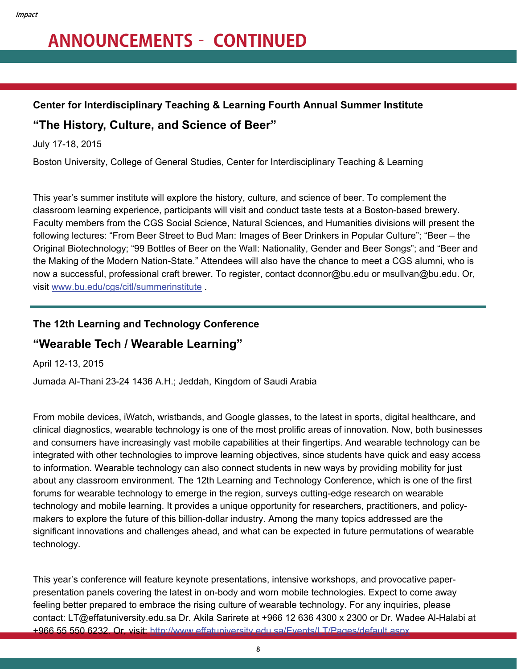# **ANNOUNCEMENTS– CONTINUED**

#### **Center for Interdisciplinary Teaching & Learning Fourth Annual Summer Institute**

### **"The History, Culture, and Science of Beer"**

July 17-18, 2015

Boston University, College of General Studies, Center for Interdisciplinary Teaching & Learning

This year's summer institute will explore the history, culture, and science of beer. To complement the classroom learning experience, participants will visit and conduct taste tests at a Boston-based brewery. Faculty members from the CGS Social Science, Natural Sciences, and Humanities divisions will present the following lectures: "From Beer Street to Bud Man: Images of Beer Drinkers in Popular Culture"; "Beer – the Original Biotechnology; "99 Bottles of Beer on the Wall: Nationality, Gender and Beer Songs"; and "Beer and the Making of the Modern Nation-State." Attendees will also have the chance to meet a CGS alumni, who is now a successful, professional craft brewer. To register, contact dconnor@bu.edu or msullvan@bu.edu. Or, visit [www.bu.edu/cgs/citl/summerinstitute](http://www.bu.edu/cgs/citl/summerinstitute/) .

#### **The 12th Learning and Technology Conference**

### **"Wearable Tech / Wearable Learning"**

April 12-13, 2015

Jumada Al-Thani 23-24 1436 A.H.; Jeddah, Kingdom of Saudi Arabia

From mobile devices, iWatch, wristbands, and Google glasses, to the latest in sports, digital healthcare, and clinical diagnostics, wearable technology is one of the most prolific areas of innovation. Now, both businesses and consumers have increasingly vast mobile capabilities at their fingertips. And wearable technology can be integrated with other technologies to improve learning objectives, since students have quick and easy access to information. Wearable technology can also connect students in new ways by providing mobility for just about any classroom environment. The 12th Learning and Technology Conference, which is one of the first forums for wearable technology to emerge in the region, surveys cutting-edge research on wearable technology and mobile learning. It provides a unique opportunity for researchers, practitioners, and policymakers to explore the future of this billion-dollar industry. Among the many topics addressed are the significant innovations and challenges ahead, and what can be expected in future permutations of wearable technology.

This year's conference will feature keynote presentations, intensive workshops, and provocative paperpresentation panels covering the latest in on-body and worn mobile technologies. Expect to come away feeling better prepared to embrace the rising culture of wearable technology. For any inquiries, please contact: LT@effatuniversity.edu.sa Dr. Akila Sarirete at +966 12 636 4300 x 2300 or Dr. Wadee Al-Halabi at +966 55 550 6232. Or, visit: <http://www.effatuniversity.edu.sa/Events/LT/Pages/default.aspx>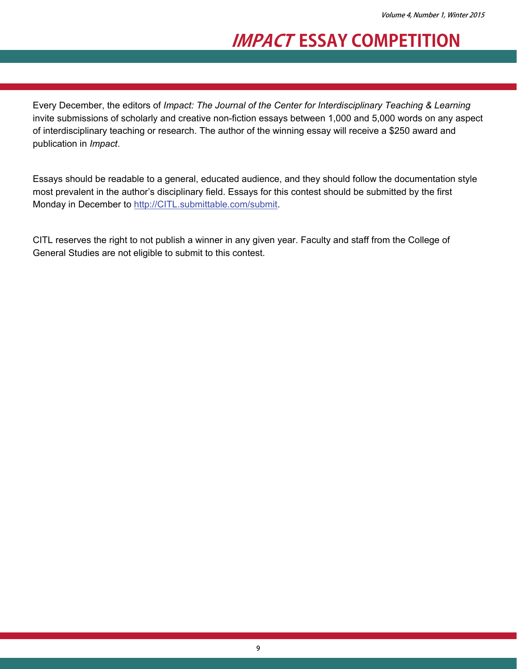### **IMPACT ESSAY COMPETITION**

Every December, the editors of *Impact: The Journal of the Center for Interdisciplinary Teaching & Learning* invite submissions of scholarly and creative non-fiction essays between 1,000 and 5,000 words on any aspect of interdisciplinary teaching or research. The author of the winning essay will receive a \$250 award and publication in *Impact*.

Essays should be readable to a general, educated audience, and they should follow the documentation style most prevalent in the author's disciplinary field. Essays for this contest should be submitted by the first Monday in December to [http://CITL.submittable.com/submit](http://citl.submittable.com/submit).

CITL reserves the right to not publish a winner in any given year. Faculty and staff from the College of General Studies are not eligible to submit to this contest.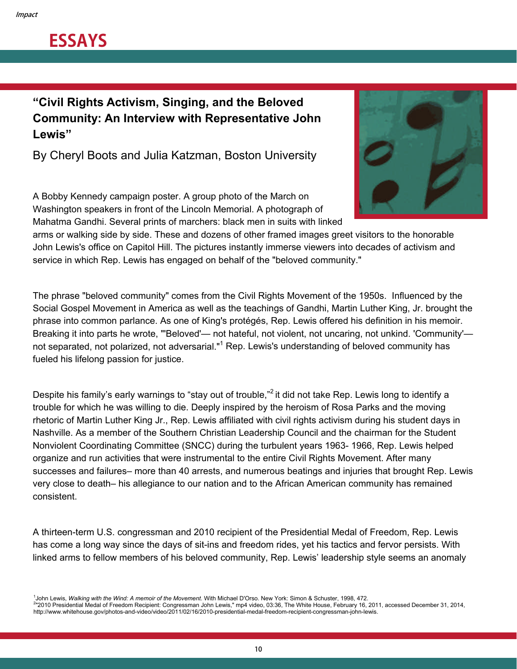## **ESSAYS**

### **"Civil Rights Activism, Singing, and the Beloved Community: An Interview with Representative John Lewis"**

By Cheryl Boots and Julia Katzman, Boston University

A Bobby Kennedy campaign poster. A group photo of the March on Washington speakers in front of the Lincoln Memorial. A photograph of Mahatma Gandhi. Several prints of marchers: black men in suits with linked



arms or walking side by side. These and dozens of other framed images greet visitors to the honorable John Lewis's office on Capitol Hill. The pictures instantly immerse viewers into decades of activism and service in which Rep. Lewis has engaged on behalf of the "beloved community."

The phrase "beloved community" comes from the Civil Rights Movement of the 1950s. Influenced by the Social Gospel Movement in America as well as the teachings of Gandhi, Martin Luther King, Jr. brought the phrase into common parlance. As one of King's protégés, Rep. Lewis offered his definition in his memoir. Breaking it into parts he wrote, "'Beloved'— not hateful, not violent, not uncaring, not unkind. 'Community' not separated, not polarized, not adversarial."<sup>1</sup> Rep. Lewis's understanding of beloved community has fueled his lifelong passion for justice.

Despite his family's early warnings to "stay out of trouble,"<sup>2</sup> it did not take Rep. Lewis long to identify a trouble for which he was willing to die. Deeply inspired by the heroism of Rosa Parks and the moving rhetoric of Martin Luther King Jr., Rep. Lewis affiliated with civil rights activism during his student days in Nashville. As a member of the Southern Christian Leadership Council and the chairman for the Student Nonviolent Coordinating Committee (SNCC) during the turbulent years 1963- 1966, Rep. Lewis helped organize and run activities that were instrumental to the entire Civil Rights Movement. After many successes and failures– more than 40 arrests, and numerous beatings and injuries that brought Rep. Lewis very close to death– his allegiance to our nation and to the African American community has remained consistent.

A thirteen-term U.S. congressman and 2010 recipient of the Presidential Medal of Freedom, Rep. Lewis has come a long way since the days of sit-ins and freedom rides, yet his tactics and fervor persists. With linked arms to fellow members of his beloved community, Rep. Lewis' leadership style seems an anomaly

John Lewis, Walking with the Wind: A memoir of the Movement. With Michael D'Orso. New York: Simon & Schuster, 1998, 472.

<sup>1</sup>John Lewis, *Walking with the Wind: A memoir of the Movement*. With Michael D'Orso. New York: Simon & Schuster, 1998, 472.<br><sup>2</sup>"2010 Presidential Medal of Freedom Recipient: Congressman John Lewis," mp4 video, 03:36, The http://www.whitehouse.gov/photos-and-video/video/2011/02/16/2010-presidential-medal-freedom-recipient-congressman-john-lewis.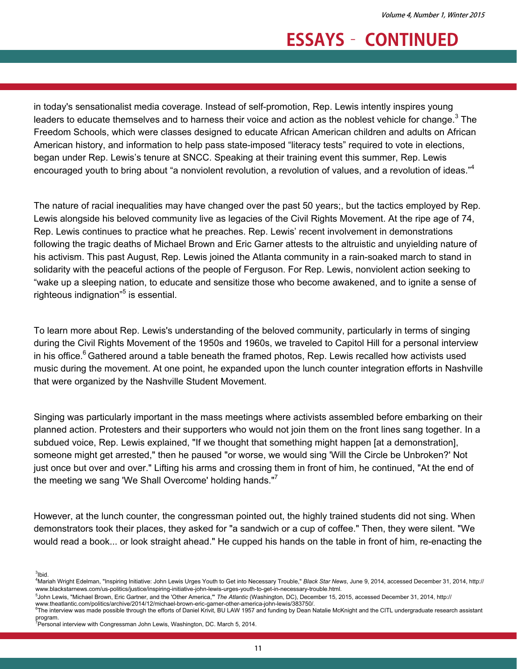in today's sensationalist media coverage. Instead of self-promotion, Rep. Lewis intently inspires young leaders to educate themselves and to harness their voice and action as the noblest vehicle for change.<sup>3</sup> The Freedom Schools, which were classes designed to educate African American children and adults on African American history, and information to help pass state-imposed "literacy tests" required to vote in elections, began under Rep. Lewis's tenure at SNCC. Speaking at their training event this summer, Rep. Lewis encouraged youth to bring about "a nonviolent revolution, a revolution of values, and a revolution of ideas."<sup>4</sup>

The nature of racial inequalities may have changed over the past 50 years;, but the tactics employed by Rep. Lewis alongside his beloved community live as legacies of the Civil Rights Movement. At the ripe age of 74, Rep. Lewis continues to practice what he preaches. Rep. Lewis' recent involvement in demonstrations following the tragic deaths of Michael Brown and Eric Garner attests to the altruistic and unyielding nature of his activism. This past August, Rep. Lewis joined the Atlanta community in a rain-soaked march to stand in solidarity with the peaceful actions of the people of Ferguson. For Rep. Lewis, nonviolent action seeking to "wake up a sleeping nation, to educate and sensitize those who become awakened, and to ignite a sense of righteous indignation"<sup>5</sup> is essential.

To learn more about Rep. Lewis's understanding of the beloved community, particularly in terms of singing during the Civil Rights Movement of the 1950s and 1960s, we traveled to Capitol Hill for a personal interview in his office.<sup>6</sup> Gathered around a table beneath the framed photos, Rep. Lewis recalled how activists used music during the movement. At one point, he expanded upon the lunch counter integration efforts in Nashville that were organized by the Nashville Student Movement.

Singing was particularly important in the mass meetings where activists assembled before embarking on their planned action. Protesters and their supporters who would not join them on the front lines sang together. In a subdued voice, Rep. Lewis explained, "If we thought that something might happen [at a demonstration], someone might get arrested," then he paused "or worse, we would sing 'Will the Circle be Unbroken?' Not just once but over and over." Lifting his arms and crossing them in front of him, he continued, "At the end of the meeting we sang 'We Shall Overcome' holding hands."<sup>7</sup>

However, at the lunch counter, the congressman pointed out, the highly trained students did not sing. When demonstrators took their places, they asked for "a sandwich or a cup of coffee." Then, they were silent. "We would read a book... or look straight ahead." He cupped his hands on the table in front of him, re-enacting the

 $3$ lbid.

<sup>4</sup> Mariah Wright Edelman, "Inspiring Initiative: John Lewis Urges Youth to Get into Necessary Trouble," *Black Star News*, June 9, 2014, accessed December 31, 2014, http:// www.blackstarnews.com/us-politics/justice/inspiring-initiative-john-lewis-urges-youth-to-get-in-necessary-trouble.html. 5

<sup>&</sup>lt;sup>5</sup>John Lewis, "Michael Brown, Eric Gartner, and the 'Other America," The Atlantic (Washington, DC), December 15, 2015, accessed December 31, 2014, http://

www.theatlantic.com/politics/archive/2014/12/michael-brown-eric-garner-other-america-john-lewis/383750/. 6  $e^{\theta}$ The interview was made possible through the efforts of Daniel Krivit, BU LAW 1957 and funding by Dean Natalie McKnight and the CITL undergraduate research assistant

program. 7 Personal interview with Congressman John Lewis, Washington, DC. March 5, 2014.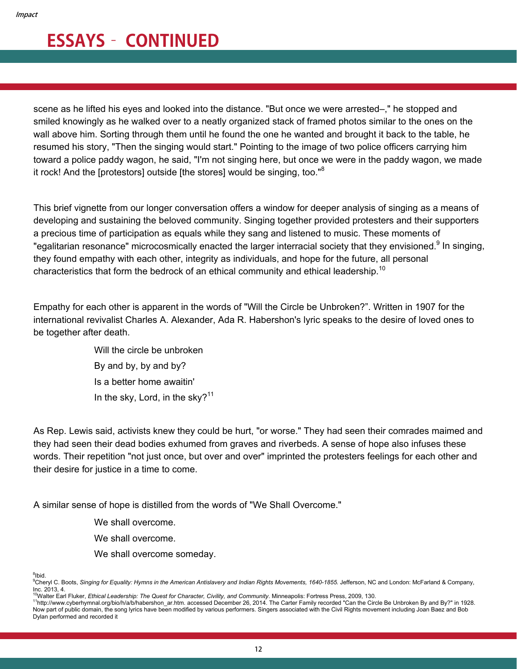scene as he lifted his eyes and looked into the distance. "But once we were arrested-," he stopped and smiled knowingly as he walked over to a neatly organized stack of framed photos similar to the ones on the wall above him. Sorting through them until he found the one he wanted and brought it back to the table, he resumed his story, "Then the singing would start." Pointing to the image of two police officers carrying him toward a police paddy wagon, he said, "I'm not singing here, but once we were in the paddy wagon, we made it rock! And the [protestors] outside [the stores] would be singing, too."<sup>8</sup>

This brief vignette from our longer conversation offers a window for deeper analysis of singing as a means of developing and sustaining the beloved community. Singing together provided protesters and their supporters a precious time of participation as equals while they sang and listened to music. These moments of "egalitarian resonance" microcosmically enacted the larger interracial society that they envisioned.<sup>9</sup> In singing, they found empathy with each other, integrity as individuals, and hope for the future, all personal characteristics that form the bedrock of an ethical community and ethical leadership.<sup>10</sup>

Empathy for each other is apparent in the words of "Will the Circle be Unbroken?". Written in 1907 for the international revivalist Charles A. Alexander, Ada R. Habershon's lyric speaks to the desire of loved ones to be together after death.

> Will the circle be unbroken By and by, by and by? Is a better home awaitin' In the sky, Lord, in the sky? $11$

As Rep. Lewis said, activists knew they could be hurt, "or worse." They had seen their comrades maimed and they had seen their dead bodies exhumed from graves and riverbeds. A sense of hope also infuses these words. Their repetition "not just once, but over and over" imprinted the protesters feelings for each other and their desire for justice in a time to come.

A similar sense of hope is distilled from the words of "We Shall Overcome."

We shall overcome.

We shall overcome.

We shall overcome someday.

<sup>8</sup>lbid.

<sup>9</sup> Cheryl C. Boots, *Singing for Equality: Hymns in the American Antislavery and Indian Rights Movements, 1640-1855.* Jefferson, NC and London: McFarland & Company, Inc. 2013, 4.<br><sup>10</sup>Walter Earl Fluker, *Ethical Leadership: The Quest for Character, Civility, and Community. Minneapolis: Fortress Press, 2009, 130.* 

<sup>11</sup>http://www.cybernymnal.org/bio/h/a/b/habershon\_ar.htm. accessed December 26, 2014. The Carter Family recorded "Can the Circle Be Unbroken By and By?" in 1928. Now part of public domain, the song lyrics have been modified by various performers. Singers associated with the Civil Rights movement including Joan Baez and Bob Dylan performed and recorded it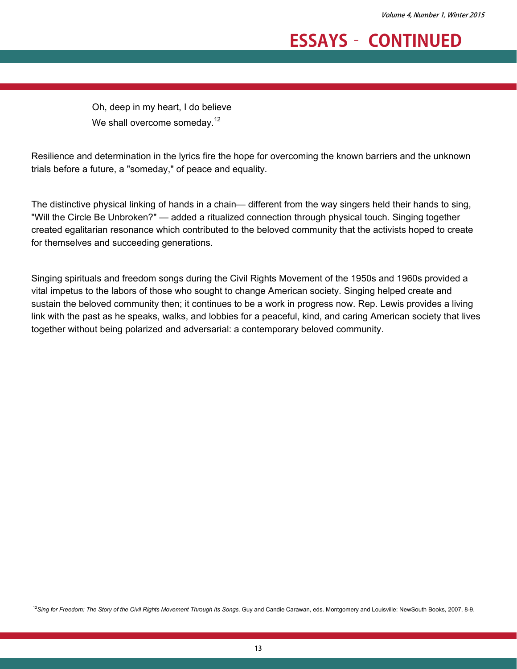Oh, deep in my heart, I do believe We shall overcome someday.<sup>12</sup>

Resilience and determination in the lyrics fire the hope for overcoming the known barriers and the unknown trials before a future, a "someday," of peace and equality.

The distinctive physical linking of hands in a chain— different from the way singers held their hands to sing, "Will the Circle Be Unbroken?" — added a ritualized connection through physical touch. Singing together created egalitarian resonance which contributed to the beloved community that the activists hoped to create for themselves and succeeding generations.

Singing spirituals and freedom songs during the Civil Rights Movement of the 1950s and 1960s provided a vital impetus to the labors of those who sought to change American society. Singing helped create and sustain the beloved community then; it continues to be a work in progress now. Rep. Lewis provides a living link with the past as he speaks, walks, and lobbies for a peaceful, kind, and caring American society that lives together without being polarized and adversarial: a contemporary beloved community.

<sup>12</sup>Sing for Freedom: The Story of the Civil Rights Movement Through Its Songs. Guy and Candie Carawan, eds. Montgomery and Louisville: NewSouth Books, 2007, 8-9.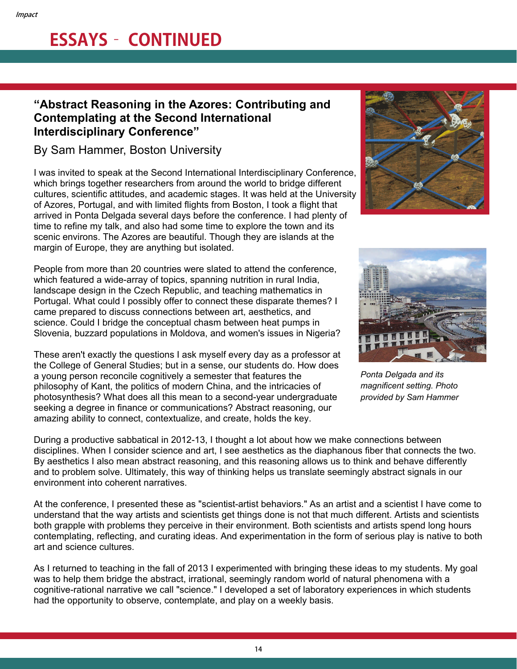### **"Abstract Reasoning in the Azores: Contributing and Contemplating at the Second International Interdisciplinary Conference"**

#### By Sam Hammer, Boston University

I was invited to speak at the Second International Interdisciplinary Conference, which brings together researchers from around the world to bridge different cultures, scientific attitudes, and academic stages. It was held at the University of Azores, Portugal, and with limited flights from Boston, I took a flight that arrived in Ponta Delgada several days before the conference. I had plenty of time to refine my talk, and also had some time to explore the town and its scenic environs. The Azores are beautiful. Though they are islands at the margin of Europe, they are anything but isolated.

People from more than 20 countries were slated to attend the conference, which featured a wide-array of topics, spanning nutrition in rural India, landscape design in the Czech Republic, and teaching mathematics in Portugal. What could I possibly offer to connect these disparate themes? I came prepared to discuss connections between art, aesthetics, and science. Could I bridge the conceptual chasm between heat pumps in Slovenia, buzzard populations in Moldova, and women's issues in Nigeria?

These aren't exactly the questions I ask myself every day as a professor at the College of General Studies; but in a sense, our students do. How does a young person reconcile cognitively a semester that features the philosophy of Kant, the politics of modern China, and the intricacies of photosynthesis? What does all this mean to a second-year undergraduate seeking a degree in finance or communications? Abstract reasoning, our amazing ability to connect, contextualize, and create, holds the key.





*Ponta Delgada and its magnificent setting. Photo provided by Sam Hammer*

During a productive sabbatical in 2012-13, I thought a lot about how we make connections between disciplines. When I consider science and art, I see aesthetics as the diaphanous fiber that connects the two. By aesthetics I also mean abstract reasoning, and this reasoning allows us to think and behave differently and to problem solve. Ultimately, this way of thinking helps us translate seemingly abstract signals in our environment into coherent narratives.

At the conference, I presented these as "scientist-artist behaviors." As an artist and a scientist I have come to understand that the way artists and scientists get things done is not that much different. Artists and scientists both grapple with problems they perceive in their environment. Both scientists and artists spend long hours contemplating, reflecting, and curating ideas. And experimentation in the form of serious play is native to both art and science cultures.

As I returned to teaching in the fall of 2013 I experimented with bringing these ideas to my students. My goal was to help them bridge the abstract, irrational, seemingly random world of natural phenomena with a cognitive-rational narrative we call "science." I developed a set of laboratory experiences in which students had the opportunity to observe, contemplate, and play on a weekly basis.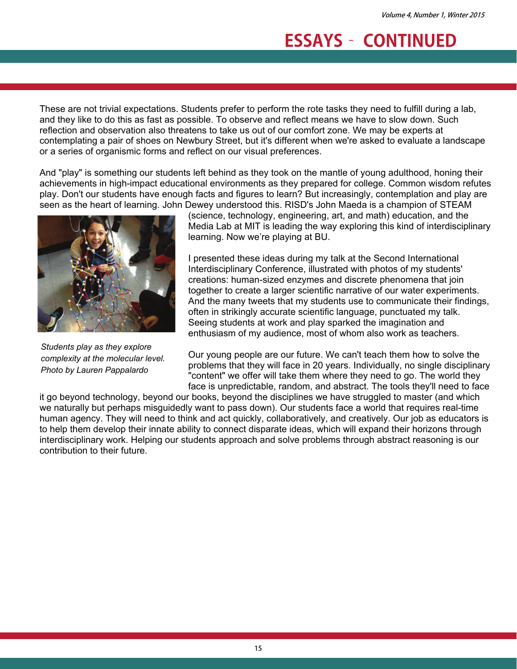These are not trivial expectations. Students prefer to perform the rote tasks they need to fulfill during a lab, and they like to do this as fast as possible. To observe and reflect means we have to slow down. Such reflection and observation also threatens to take us out of our comfort zone. We may be experts at contemplating a pair of shoes on Newbury Street, but it's different when we're asked to evaluate a landscape or a series of organismic forms and reflect on our visual preferences.

And "play" is something our students left behind as they took on the mantle of young adulthood, honing their achievements in high-impact educational environments as they prepared for college. Common wisdom refutes play. Don't our students have enough facts and figures to learn? But increasingly, contemplation and play are seen as the heart of learning. John Dewey understood this. RISD's John Maeda is a champion of STEAM



*Students play as they explore complexity at the molecular level. Photo by Lauren Pappalardo* 

(science, technology, engineering, art, and math) education, and the Media Lab at MIT is leading the way exploring this kind of interdisciplinary learning. Now we're playing at BU.

I presented these ideas during my talk at the Second International Interdisciplinary Conference, illustrated with photos of my students' creations: human-sized enzymes and discrete phenomena that join together to create a larger scientific narrative of our water experiments. And the many tweets that my students use to communicate their findings, often in strikingly accurate scientific language, punctuated my talk. Seeing students at work and play sparked the imagination and enthusiasm of my audience, most of whom also work as teachers.

Our young people are our future. We can't teach them how to solve the problems that they will face in 20 years. Individually, no single disciplinary "content" we offer will take them where they need to go. The world they face is unpredictable, random, and abstract. The tools they'll need to face

it go beyond technology, beyond our books, beyond the disciplines we have struggled to master (and which we naturally but perhaps misguidedly want to pass down). Our students face a world that requires real-time human agency. They will need to think and act quickly, collaboratively, and creatively. Our job as educators is to help them develop their innate ability to connect disparate ideas, which will expand their horizons through interdisciplinary work. Helping our students approach and solve problems through abstract reasoning is our contribution to their future.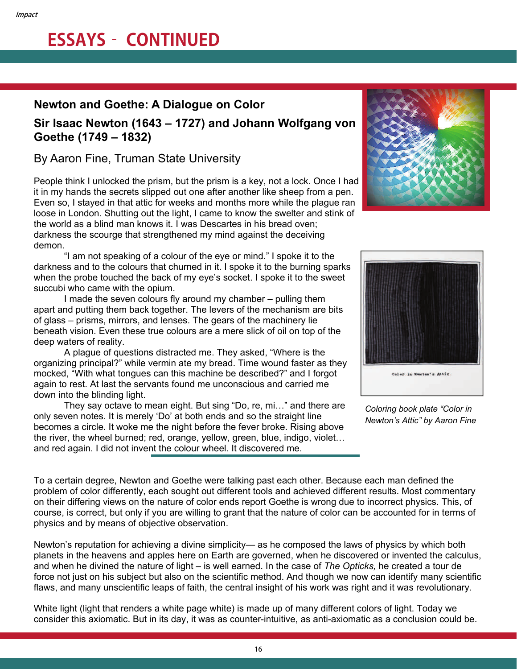#### **Newton and Goethe: A Dialogue on Color**

#### **Sir Isaac Newton (1643 – 1727) and Johann Wolfgang von Goethe (1749 – 1832)**

### By Aaron Fine, Truman State University

People think I unlocked the prism, but the prism is a key, not a lock. Once I had it in my hands the secrets slipped out one after another like sheep from a pen. Even so, I stayed in that attic for weeks and months more while the plague ran loose in London. Shutting out the light, I came to know the swelter and stink of the world as a blind man knows it. I was Descartes in his bread oven; darkness the scourge that strengthened my mind against the deceiving demon.

 "I am not speaking of a colour of the eye or mind." I spoke it to the darkness and to the colours that churned in it. I spoke it to the burning sparks when the probe touched the back of my eye's socket. I spoke it to the sweet succubi who came with the opium.

 I made the seven colours fly around my chamber – pulling them apart and putting them back together. The levers of the mechanism are bits of glass – prisms, mirrors, and lenses. The gears of the machinery lie beneath vision. Even these true colours are a mere slick of oil on top of the deep waters of reality.

 A plague of questions distracted me. They asked, "Where is the organizing principal?" while vermin ate my bread. Time wound faster as they mocked, "With what tongues can this machine be described?" and I forgot again to rest. At last the servants found me unconscious and carried me down into the blinding light.

They say octave to mean eight. But sing "Do, re, mi…" and there are only seven notes. It is merely 'Do' at both ends and so the straight line becomes a circle. It woke me the night before the fever broke. Rising above the river, the wheel burned; red, orange, yellow, green, blue, indigo, violet… and red again. I did not invent the colour wheel. It discovered me.





*Coloring book plate "Color in Newton's Attic" by Aaron Fine* 

To a certain degree, Newton and Goethe were talking past each other. Because each man defined the problem of color differently, each sought out different tools and achieved different results. Most commentary on their differing views on the nature of color ends report Goethe is wrong due to incorrect physics. This, of course, is correct, but only if you are willing to grant that the nature of color can be accounted for in terms of physics and by means of objective observation.

Newton's reputation for achieving a divine simplicity— as he composed the laws of physics by which both planets in the heavens and apples here on Earth are governed, when he discovered or invented the calculus, and when he divined the nature of light – is well earned. In the case of *The Opticks,* he created a tour de force not just on his subject but also on the scientific method. And though we now can identify many scientific flaws, and many unscientific leaps of faith, the central insight of his work was right and it was revolutionary.

White light (light that renders a white page white) is made up of many different colors of light. Today we consider this axiomatic. But in its day, it was as counter-intuitive, as anti-axiomatic as a conclusion could be.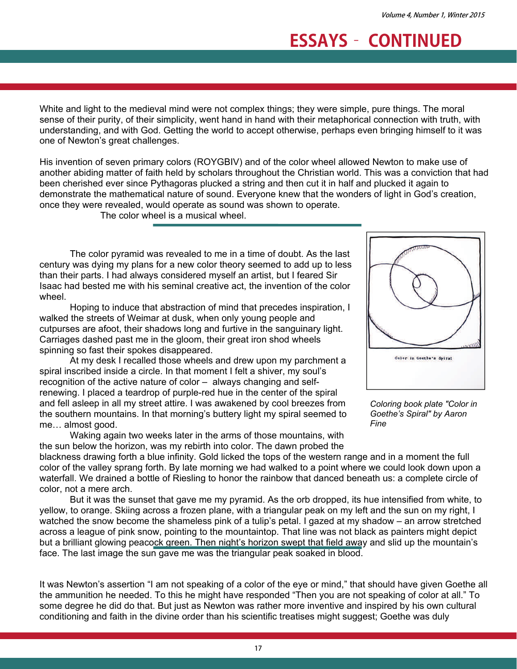White and light to the medieval mind were not complex things; they were simple, pure things. The moral sense of their purity, of their simplicity, went hand in hand with their metaphorical connection with truth, with understanding, and with God. Getting the world to accept otherwise, perhaps even bringing himself to it was one of Newton's great challenges.

His invention of seven primary colors (ROYGBIV) and of the color wheel allowed Newton to make use of another abiding matter of faith held by scholars throughout the Christian world. This was a conviction that had been cherished ever since Pythagoras plucked a string and then cut it in half and plucked it again to demonstrate the mathematical nature of sound. Everyone knew that the wonders of light in God's creation, once they were revealed, would operate as sound was shown to operate.

The color wheel is a musical wheel.

The color pyramid was revealed to me in a time of doubt. As the last century was dying my plans for a new color theory seemed to add up to less than their parts. I had always considered myself an artist, but I feared Sir Isaac had bested me with his seminal creative act, the invention of the color wheel.

Hoping to induce that abstraction of mind that precedes inspiration, I walked the streets of Weimar at dusk, when only young people and cutpurses are afoot, their shadows long and furtive in the sanguinary light. Carriages dashed past me in the gloom, their great iron shod wheels spinning so fast their spokes disappeared.

At my desk I recalled those wheels and drew upon my parchment a spiral inscribed inside a circle. In that moment I felt a shiver, my soul's recognition of the active nature of color – always changing and selfrenewing. I placed a teardrop of purple-red hue in the center of the spiral and fell asleep in all my street attire. I was awakened by cool breezes from the southern mountains. In that morning's buttery light my spiral seemed to me… almost good.

Waking again two weeks later in the arms of those mountains, with the sun below the horizon, was my rebirth into color. The dawn probed the



*Coloring book plate "Color in Goethe's Spiral" by Aaron Fine* 

blackness drawing forth a blue infinity. Gold licked the tops of the western range and in a moment the full color of the valley sprang forth. By late morning we had walked to a point where we could look down upon a waterfall. We drained a bottle of Riesling to honor the rainbow that danced beneath us: a complete circle of color, not a mere arch.

But it was the sunset that gave me my pyramid. As the orb dropped, its hue intensified from white, to yellow, to orange. Skiing across a frozen plane, with a triangular peak on my left and the sun on my right, I watched the snow become the shameless pink of a tulip's petal. I gazed at my shadow – an arrow stretched across a league of pink snow, pointing to the mountaintop. That line was not black as painters might depict but a brilliant glowing peacock green. Then night's horizon swept that field away and slid up the mountain's face. The last image the sun gave me was the triangular peak soaked in blood.

It was Newton's assertion "I am not speaking of a color of the eye or mind," that should have given Goethe all the ammunition he needed. To this he might have responded "Then you are not speaking of color at all." To some degree he did do that. But just as Newton was rather more inventive and inspired by his own cultural conditioning and faith in the divine order than his scientific treatises might suggest; Goethe was duly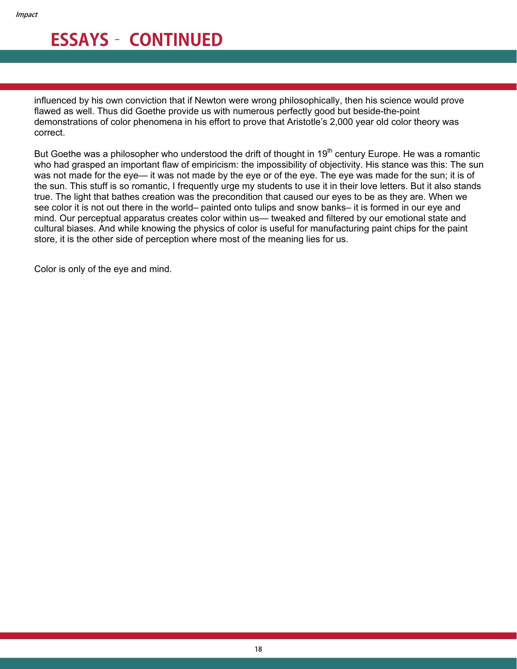influenced by his own conviction that if Newton were wrong philosophically, then his science would prove flawed as well. Thus did Goethe provide us with numerous perfectly good but beside-the-point demonstrations of color phenomena in his effort to prove that Aristotle's 2,000 year old color theory was correct.

But Goethe was a philosopher who understood the drift of thought in 19<sup>th</sup> century Europe. He was a romantic who had grasped an important flaw of empiricism: the impossibility of objectivity. His stance was this: The sun was not made for the eye— it was not made by the eye or of the eye. The eye was made for the sun; it is of the sun. This stuff is so romantic, I frequently urge my students to use it in their love letters. But it also stands true. The light that bathes creation was the precondition that caused our eyes to be as they are. When we see color it is not out there in the world– painted onto tulips and snow banks– it is formed in our eye and mind. Our perceptual apparatus creates color within us— tweaked and filtered by our emotional state and cultural biases. And while knowing the physics of color is useful for manufacturing paint chips for the paint store, it is the other side of perception where most of the meaning lies for us.

Color is only of the eye and mind.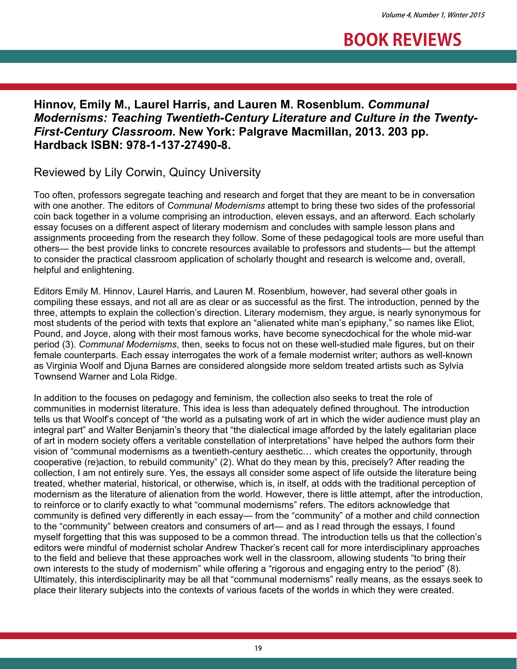

### **Hinnov, Emily M., Laurel Harris, and Lauren M. Rosenblum.** *Communal Modernisms: Teaching Twentieth-Century Literature and Culture in the Twenty-First-Century Classroom***. New York: Palgrave Macmillan, 2013. 203 pp. Hardback ISBN: 978-1-137-27490-8.**

Reviewed by Lily Corwin, Quincy University

Too often, professors segregate teaching and research and forget that they are meant to be in conversation with one another. The editors of *Communal Modernisms* attempt to bring these two sides of the professorial coin back together in a volume comprising an introduction, eleven essays, and an afterword. Each scholarly essay focuses on a different aspect of literary modernism and concludes with sample lesson plans and assignments proceeding from the research they follow. Some of these pedagogical tools are more useful than others— the best provide links to concrete resources available to professors and students— but the attempt to consider the practical classroom application of scholarly thought and research is welcome and, overall, helpful and enlightening.

Editors Emily M. Hinnov, Laurel Harris, and Lauren M. Rosenblum, however, had several other goals in compiling these essays, and not all are as clear or as successful as the first. The introduction, penned by the three, attempts to explain the collection's direction. Literary modernism, they argue, is nearly synonymous for most students of the period with texts that explore an "alienated white man's epiphany," so names like Eliot, Pound, and Joyce, along with their most famous works, have become synecdochical for the whole mid-war period (3). *Communal Modernisms*, then, seeks to focus not on these well-studied male figures, but on their female counterparts. Each essay interrogates the work of a female modernist writer; authors as well-known as Virginia Woolf and Djuna Barnes are considered alongside more seldom treated artists such as Sylvia Townsend Warner and Lola Ridge.

In addition to the focuses on pedagogy and feminism, the collection also seeks to treat the role of communities in modernist literature. This idea is less than adequately defined throughout. The introduction tells us that Woolf's concept of "the world as a pulsating work of art in which the wider audience must play an integral part" and Walter Benjamin's theory that "the dialectical image afforded by the lately egalitarian place of art in modern society offers a veritable constellation of interpretations" have helped the authors form their vision of "communal modernisms as a twentieth-century aesthetic… which creates the opportunity, through cooperative (re)action, to rebuild community" (2). What do they mean by this, precisely? After reading the collection, I am not entirely sure. Yes, the essays all consider some aspect of life outside the literature being treated, whether material, historical, or otherwise, which is, in itself, at odds with the traditional perception of modernism as the literature of alienation from the world. However, there is little attempt, after the introduction, to reinforce or to clarify exactly to what "communal modernisms" refers. The editors acknowledge that community is defined very differently in each essay— from the "community" of a mother and child connection to the "community" between creators and consumers of art— and as I read through the essays, I found myself forgetting that this was supposed to be a common thread. The introduction tells us that the collection's editors were mindful of modernist scholar Andrew Thacker's recent call for more interdisciplinary approaches to the field and believe that these approaches work well in the classroom, allowing students "to bring their own interests to the study of modernism" while offering a "rigorous and engaging entry to the period" (8). Ultimately, this interdisciplinarity may be all that "communal modernisms" really means, as the essays seek to place their literary subjects into the contexts of various facets of the worlds in which they were created.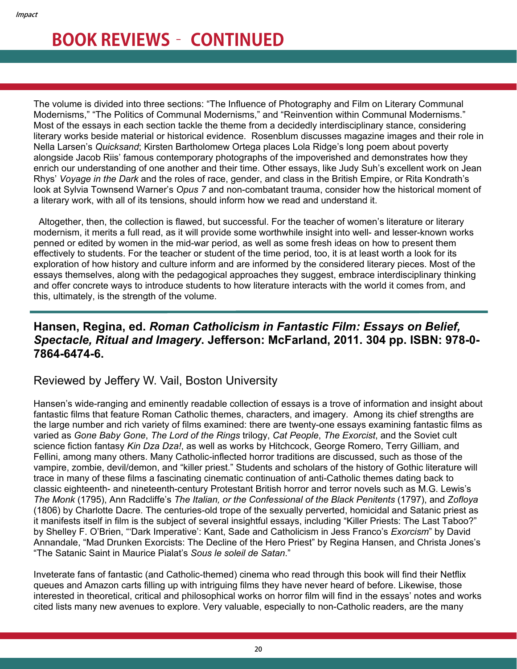The volume is divided into three sections: "The Influence of Photography and Film on Literary Communal Modernisms," "The Politics of Communal Modernisms," and "Reinvention within Communal Modernisms." Most of the essays in each section tackle the theme from a decidedly interdisciplinary stance, considering literary works beside material or historical evidence. Rosenblum discusses magazine images and their role in Nella Larsen's *Quicksand*; Kirsten Bartholomew Ortega places Lola Ridge's long poem about poverty alongside Jacob Riis' famous contemporary photographs of the impoverished and demonstrates how they enrich our understanding of one another and their time. Other essays, like Judy Suh's excellent work on Jean Rhys' *Voyage in the Dark* and the roles of race, gender, and class in the British Empire, or Rita Kondrath's look at Sylvia Townsend Warner's *Opus 7* and non-combatant trauma, consider how the historical moment of a literary work, with all of its tensions, should inform how we read and understand it.

 Altogether, then, the collection is flawed, but successful. For the teacher of women's literature or literary modernism, it merits a full read, as it will provide some worthwhile insight into well- and lesser-known works penned or edited by women in the mid-war period, as well as some fresh ideas on how to present them effectively to students. For the teacher or student of the time period, too, it is at least worth a look for its exploration of how history and culture inform and are informed by the considered literary pieces. Most of the essays themselves, along with the pedagogical approaches they suggest, embrace interdisciplinary thinking and offer concrete ways to introduce students to how literature interacts with the world it comes from, and this, ultimately, is the strength of the volume.

#### **Hansen, Regina, ed.** *Roman Catholicism in Fantastic Film: Essays on Belief, Spectacle, Ritual and Imagery***. Jefferson: McFarland, 2011. 304 pp. ISBN: 978-0- 7864-6474-6.**

#### Reviewed by Jeffery W. Vail, Boston University

Hansen's wide-ranging and eminently readable collection of essays is a trove of information and insight about fantastic films that feature Roman Catholic themes, characters, and imagery. Among its chief strengths are the large number and rich variety of films examined: there are twenty-one essays examining fantastic films as varied as *Gone Baby Gone*, *The Lord of the Rings* trilogy, *Cat People*, *The Exorcist*, and the Soviet cult science fiction fantasy *Kin Dza Dza!*, as well as works by Hitchcock, George Romero, Terry Gilliam, and Fellini, among many others. Many Catholic-inflected horror traditions are discussed, such as those of the vampire, zombie, devil/demon, and "killer priest." Students and scholars of the history of Gothic literature will trace in many of these films a fascinating cinematic continuation of anti-Catholic themes dating back to classic eighteenth- and nineteenth-century Protestant British horror and terror novels such as M.G. Lewis's *The Monk* (1795), Ann Radcliffe's *The Italian, or the Confessional of the Black Penitents* (1797), and *Zofloya* (1806) by Charlotte Dacre. The centuries-old trope of the sexually perverted, homicidal and Satanic priest as it manifests itself in film is the subject of several insightful essays, including "Killer Priests: The Last Taboo?" by Shelley F. O'Brien, "'Dark Imperative': Kant, Sade and Catholicism in Jess Franco's *Exorcism*" by David Annandale, "Mad Drunken Exorcists: The Decline of the Hero Priest" by Regina Hansen, and Christa Jones's "The Satanic Saint in Maurice Pialat's *Sous le soleil de Satan*."

Inveterate fans of fantastic (and Catholic-themed) cinema who read through this book will find their Netflix queues and Amazon carts filling up with intriguing films they have never heard of before. Likewise, those interested in theoretical, critical and philosophical works on horror film will find in the essays' notes and works cited lists many new avenues to explore. Very valuable, especially to non-Catholic readers, are the many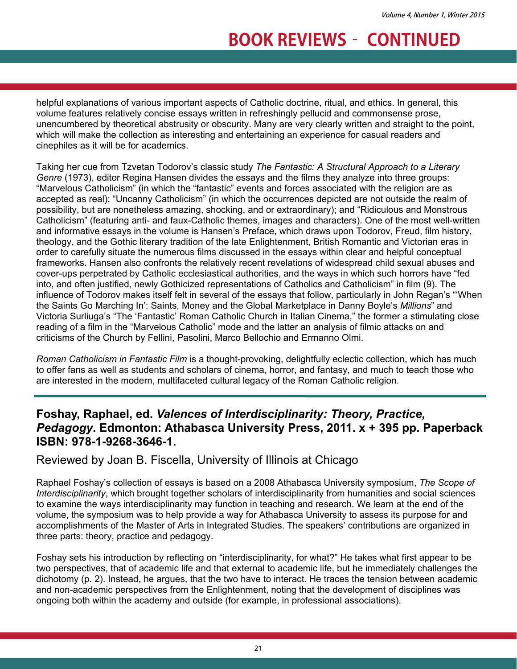helpful explanations of various important aspects of Catholic doctrine, ritual, and ethics. In general, this volume features relatively concise essays written in refreshingly pellucid and commonsense prose, unencumbered by theoretical abstrusity or obscurity. Many are very clearly written and straight to the point, which will make the collection as interesting and entertaining an experience for casual readers and cinephiles as it will be for academics.

Taking her cue from Tzvetan Todorov's classic study *The Fantastic: A Structural Approach to a Literary Genre* (1973), editor Regina Hansen divides the essays and the films they analyze into three groups: "Marvelous Catholicism" (in which the "fantastic" events and forces associated with the religion are as accepted as real); "Uncanny Catholicism" (in which the occurrences depicted are not outside the realm of possibility, but are nonetheless amazing, shocking, and or extraordinary); and "Ridiculous and Monstrous Catholicism" (featuring anti- and faux-Catholic themes, images and characters). One of the most well-written and informative essays in the volume is Hansen's Preface, which draws upon Todorov, Freud, film history, theology, and the Gothic literary tradition of the late Enlightenment, British Romantic and Victorian eras in order to carefully situate the numerous films discussed in the essays within clear and helpful conceptual frameworks. Hansen also confronts the relatively recent revelations of widespread child sexual abuses and cover-ups perpetrated by Catholic ecclesiastical authorities, and the ways in which such horrors have "fed into, and often justified, newly Gothicized representations of Catholics and Catholicism" in film (9). The influence of Todorov makes itself felt in several of the essays that follow, particularly in John Regan's "'When the Saints Go Marching In': Saints, Money and the Global Marketplace in Danny Boyle's *Millions*" and Victoria Surliuga's "The 'Fantastic' Roman Catholic Church in Italian Cinema," the former a stimulating close reading of a film in the "Marvelous Catholic" mode and the latter an analysis of filmic attacks on and criticisms of the Church by Fellini, Pasolini, Marco Bellochio and Ermanno Olmi.

*Roman Catholicism in Fantastic Film* is a thought-provoking, delightfully eclectic collection, which has much to offer fans as well as students and scholars of cinema, horror, and fantasy, and much to teach those who are interested in the modern, multifaceted cultural legacy of the Roman Catholic religion.

#### **Foshay, Raphael, ed.** *Valences of Interdisciplinarity: Theory, Practice, Pedagogy***. Edmonton: Athabasca University Press, 2011. x + 395 pp. Paperback ISBN: 978-1-9268-3646-1.**

#### Reviewed by Joan B. Fiscella, University of Illinois at Chicago

Raphael Foshay's collection of essays is based on a 2008 Athabasca University symposium, *The Scope of Interdisciplinarity*, which brought together scholars of interdisciplinarity from humanities and social sciences to examine the ways interdisciplinarity may function in teaching and research. We learn at the end of the volume, the symposium was to help provide a way for Athabasca University to assess its purpose for and accomplishments of the Master of Arts in Integrated Studies. The speakers' contributions are organized in three parts: theory, practice and pedagogy.

Foshay sets his introduction by reflecting on "interdisciplinarity, for what?" He takes what first appear to be two perspectives, that of academic life and that external to academic life, but he immediately challenges the dichotomy (p. 2). Instead, he argues, that the two have to interact. He traces the tension between academic and non-academic perspectives from the Enlightenment, noting that the development of disciplines was ongoing both within the academy and outside (for example, in professional associations).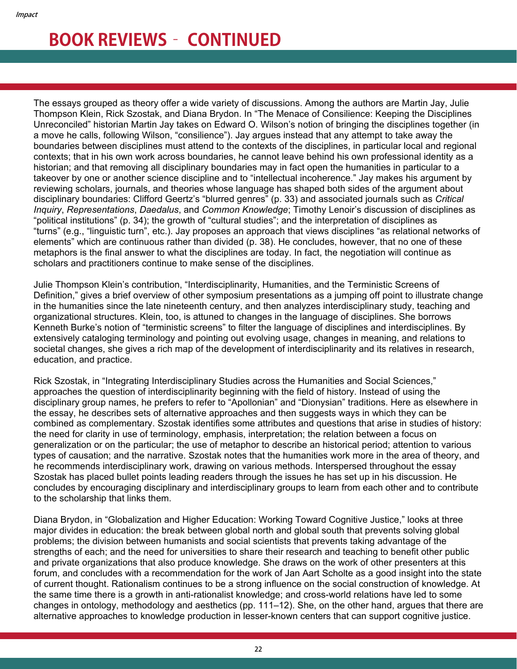The essays grouped as theory offer a wide variety of discussions. Among the authors are Martin Jay, Julie Thompson Klein, Rick Szostak, and Diana Brydon. In "The Menace of Consilience: Keeping the Disciplines Unreconciled" historian Martin Jay takes on Edward O. Wilson's notion of bringing the disciplines together (in a move he calls, following Wilson, "consilience"). Jay argues instead that any attempt to take away the boundaries between disciplines must attend to the contexts of the disciplines, in particular local and regional contexts; that in his own work across boundaries, he cannot leave behind his own professional identity as a historian; and that removing all disciplinary boundaries may in fact open the humanities in particular to a takeover by one or another science discipline and to "intellectual incoherence." Jay makes his argument by reviewing scholars, journals, and theories whose language has shaped both sides of the argument about disciplinary boundaries: Clifford Geertz's "blurred genres" (p. 33) and associated journals such as *Critical Inquiry*, *Representations*, *Daedalus*, and *Common Knowledge*; Timothy Lenoir's discussion of disciplines as "political institutions" (p. 34); the growth of "cultural studies"; and the interpretation of disciplines as "turns" (e.g., "linguistic turn", etc.). Jay proposes an approach that views disciplines "as relational networks of elements" which are continuous rather than divided (p. 38). He concludes, however, that no one of these metaphors is the final answer to what the disciplines are today. In fact, the negotiation will continue as scholars and practitioners continue to make sense of the disciplines.

Julie Thompson Klein's contribution, "Interdisciplinarity, Humanities, and the Terministic Screens of Definition," gives a brief overview of other symposium presentations as a jumping off point to illustrate change in the humanities since the late nineteenth century, and then analyzes interdisciplinary study, teaching and organizational structures. Klein, too, is attuned to changes in the language of disciplines. She borrows Kenneth Burke's notion of "terministic screens" to filter the language of disciplines and interdisciplines. By extensively cataloging terminology and pointing out evolving usage, changes in meaning, and relations to societal changes, she gives a rich map of the development of interdisciplinarity and its relatives in research, education, and practice.

Rick Szostak, in "Integrating Interdisciplinary Studies across the Humanities and Social Sciences," approaches the question of interdisciplinarity beginning with the field of history. Instead of using the disciplinary group names, he prefers to refer to "Apollonian" and "Dionysian" traditions. Here as elsewhere in the essay, he describes sets of alternative approaches and then suggests ways in which they can be combined as complementary. Szostak identifies some attributes and questions that arise in studies of history: the need for clarity in use of terminology, emphasis, interpretation; the relation between a focus on generalization or on the particular; the use of metaphor to describe an historical period; attention to various types of causation; and the narrative. Szostak notes that the humanities work more in the area of theory, and he recommends interdisciplinary work, drawing on various methods. Interspersed throughout the essay Szostak has placed bullet points leading readers through the issues he has set up in his discussion. He concludes by encouraging disciplinary and interdisciplinary groups to learn from each other and to contribute to the scholarship that links them.

Diana Brydon, in "Globalization and Higher Education: Working Toward Cognitive Justice," looks at three major divides in education: the break between global north and global south that prevents solving global problems; the division between humanists and social scientists that prevents taking advantage of the strengths of each; and the need for universities to share their research and teaching to benefit other public and private organizations that also produce knowledge. She draws on the work of other presenters at this forum, and concludes with a recommendation for the work of Jan Aart Scholte as a good insight into the state of current thought. Rationalism continues to be a strong influence on the social construction of knowledge. At the same time there is a growth in anti-rationalist knowledge; and cross-world relations have led to some changes in ontology, methodology and aesthetics (pp. 111–12). She, on the other hand, argues that there are alternative approaches to knowledge production in lesser-known centers that can support cognitive justice.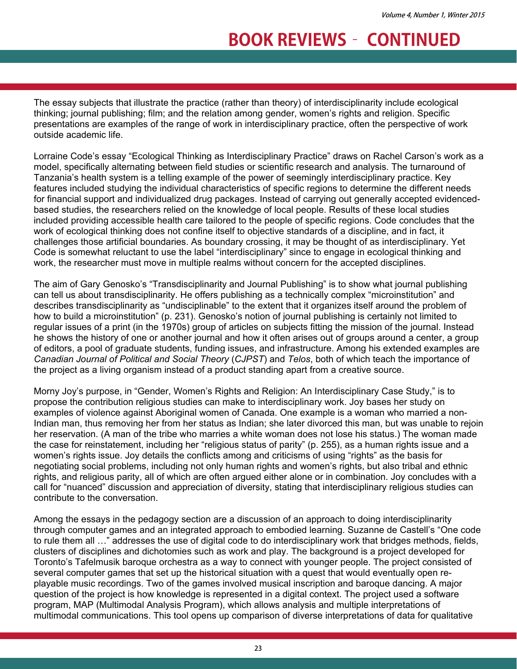The essay subjects that illustrate the practice (rather than theory) of interdisciplinarity include ecological thinking; journal publishing; film; and the relation among gender, women's rights and religion. Specific presentations are examples of the range of work in interdisciplinary practice, often the perspective of work outside academic life.

Lorraine Code's essay "Ecological Thinking as Interdisciplinary Practice" draws on Rachel Carson's work as a model, specifically alternating between field studies or scientific research and analysis. The turnaround of Tanzania's health system is a telling example of the power of seemingly interdisciplinary practice. Key features included studying the individual characteristics of specific regions to determine the different needs for financial support and individualized drug packages. Instead of carrying out generally accepted evidencedbased studies, the researchers relied on the knowledge of local people. Results of these local studies included providing accessible health care tailored to the people of specific regions. Code concludes that the work of ecological thinking does not confine itself to objective standards of a discipline, and in fact, it challenges those artificial boundaries. As boundary crossing, it may be thought of as interdisciplinary. Yet Code is somewhat reluctant to use the label "interdisciplinary" since to engage in ecological thinking and work, the researcher must move in multiple realms without concern for the accepted disciplines.

The aim of Gary Genosko's "Transdisciplinarity and Journal Publishing" is to show what journal publishing can tell us about transdisciplinarity. He offers publishing as a technically complex "microinstitution" and describes transdisciplinarity as "undisciplinable" to the extent that it organizes itself around the problem of how to build a microinstitution" (p. 231). Genosko's notion of journal publishing is certainly not limited to regular issues of a print (in the 1970s) group of articles on subjects fitting the mission of the journal. Instead he shows the history of one or another journal and how it often arises out of groups around a center, a group of editors, a pool of graduate students, funding issues, and infrastructure. Among his extended examples are *Canadian Journal of Political and Social Theory* (*CJPST*) and *Telos*, both of which teach the importance of the project as a living organism instead of a product standing apart from a creative source.

Morny Joy's purpose, in "Gender, Women's Rights and Religion: An Interdisciplinary Case Study," is to propose the contribution religious studies can make to interdisciplinary work. Joy bases her study on examples of violence against Aboriginal women of Canada. One example is a woman who married a non-Indian man, thus removing her from her status as Indian; she later divorced this man, but was unable to rejoin her reservation. (A man of the tribe who marries a white woman does not lose his status.) The woman made the case for reinstatement, including her "religious status of parity" (p. 255), as a human rights issue and a women's rights issue. Joy details the conflicts among and criticisms of using "rights" as the basis for negotiating social problems, including not only human rights and women's rights, but also tribal and ethnic rights, and religious parity, all of which are often argued either alone or in combination. Joy concludes with a call for "nuanced" discussion and appreciation of diversity, stating that interdisciplinary religious studies can contribute to the conversation.

Among the essays in the pedagogy section are a discussion of an approach to doing interdisciplinarity through computer games and an integrated approach to embodied learning. Suzanne de Castell's "One code to rule them all …" addresses the use of digital code to do interdisciplinary work that bridges methods, fields, clusters of disciplines and dichotomies such as work and play. The background is a project developed for Toronto's Tafelmusik baroque orchestra as a way to connect with younger people. The project consisted of several computer games that set up the historical situation with a quest that would eventually open replayable music recordings. Two of the games involved musical inscription and baroque dancing. A major question of the project is how knowledge is represented in a digital context. The project used a software program, MAP (Multimodal Analysis Program), which allows analysis and multiple interpretations of multimodal communications. This tool opens up comparison of diverse interpretations of data for qualitative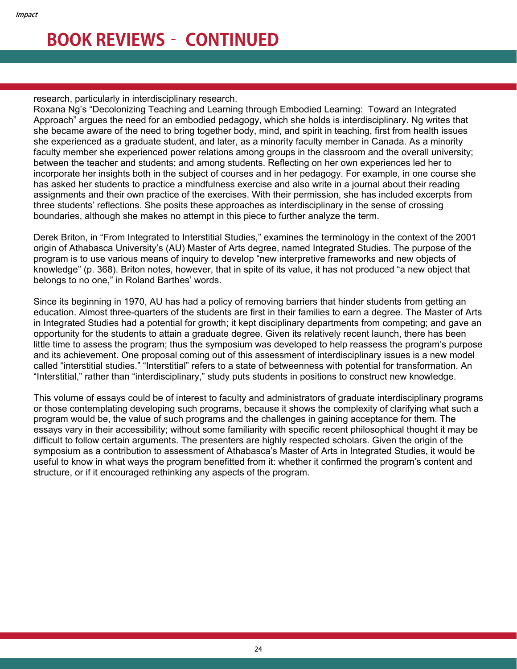research, particularly in interdisciplinary research.

Roxana Ng's "Decolonizing Teaching and Learning through Embodied Learning: Toward an Integrated Approach" argues the need for an embodied pedagogy, which she holds is interdisciplinary. Ng writes that she became aware of the need to bring together body, mind, and spirit in teaching, first from health issues she experienced as a graduate student, and later, as a minority faculty member in Canada. As a minority faculty member she experienced power relations among groups in the classroom and the overall university; between the teacher and students; and among students. Reflecting on her own experiences led her to incorporate her insights both in the subject of courses and in her pedagogy. For example, in one course she has asked her students to practice a mindfulness exercise and also write in a journal about their reading assignments and their own practice of the exercises. With their permission, she has included excerpts from three students' reflections. She posits these approaches as interdisciplinary in the sense of crossing boundaries, although she makes no attempt in this piece to further analyze the term.

Derek Briton, in "From Integrated to Interstitial Studies," examines the terminology in the context of the 2001 origin of Athabasca University's (AU) Master of Arts degree, named Integrated Studies. The purpose of the program is to use various means of inquiry to develop "new interpretive frameworks and new objects of knowledge" (p. 368). Briton notes, however, that in spite of its value, it has not produced "a new object that belongs to no one," in Roland Barthes' words.

Since its beginning in 1970, AU has had a policy of removing barriers that hinder students from getting an education. Almost three-quarters of the students are first in their families to earn a degree. The Master of Arts in Integrated Studies had a potential for growth; it kept disciplinary departments from competing; and gave an opportunity for the students to attain a graduate degree. Given its relatively recent launch, there has been little time to assess the program; thus the symposium was developed to help reassess the program's purpose and its achievement. One proposal coming out of this assessment of interdisciplinary issues is a new model called "interstitial studies." "Interstitial" refers to a state of betweenness with potential for transformation. An "Interstitial," rather than "interdisciplinary," study puts students in positions to construct new knowledge.

This volume of essays could be of interest to faculty and administrators of graduate interdisciplinary programs or those contemplating developing such programs, because it shows the complexity of clarifying what such a program would be, the value of such programs and the challenges in gaining acceptance for them. The essays vary in their accessibility; without some familiarity with specific recent philosophical thought it may be difficult to follow certain arguments. The presenters are highly respected scholars. Given the origin of the symposium as a contribution to assessment of Athabasca's Master of Arts in Integrated Studies, it would be useful to know in what ways the program benefitted from it: whether it confirmed the program's content and structure, or if it encouraged rethinking any aspects of the program.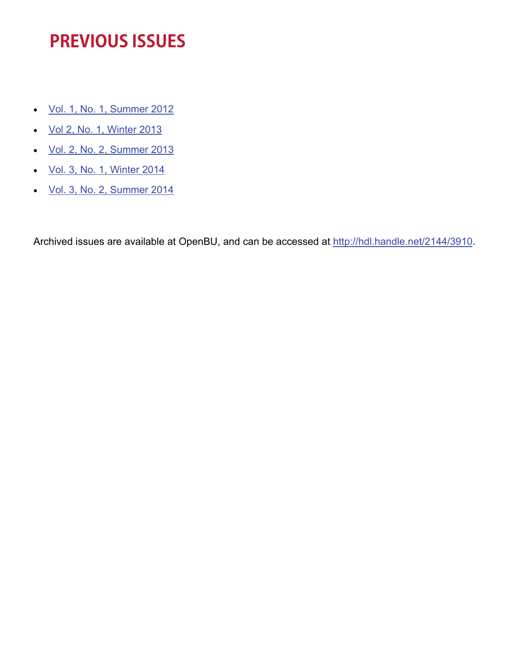# **PREVIOUS ISSUES**

- [Vol. 1, No. 1, Summer 2012](http://www.bu.edu/cgs/files/2012/04/IMPACT-Journal-Summer-2012.pdf)
- [Vol 2, No. 1, Winter 2013](http://www.bu.edu/cgs/files/2012/04/IMPACT-Journal-Winter-2013.pdf)
- [Vol. 2, No. 2, Summer 2013](http://www.bu.edu/cgs/files/2013/06/IMPACT-Journal-Summer-2013.pdf)
- [Vol. 3, No. 1, Winter 2014](http://sites.bu.edu/impact/impact-vol-3-no-1-winter-2014/)
- [Vol. 3, No. 2, Summer 2014](http://sites.bu.edu/impact/impact-vol-3-no-2-summer-2014/)

Archived issues are available at OpenBU, and can be accessed at<http://hdl.handle.net/2144/3910>.